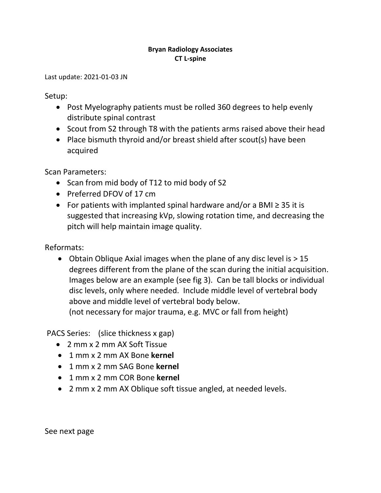## **Bryan Radiology Associates CT L-spine**

Last update: 2021-01-03 JN

Setup:

- Post Myelography patients must be rolled 360 degrees to help evenly distribute spinal contrast
- Scout from S2 through T8 with the patients arms raised above their head
- Place bismuth thyroid and/or breast shield after scout(s) have been acquired

Scan Parameters:

- Scan from mid body of T12 to mid body of S2
- Preferred DFOV of 17 cm
- For patients with implanted spinal hardware and/or a BMI ≥ 35 it is suggested that increasing kVp, slowing rotation time, and decreasing the pitch will help maintain image quality.

Reformats:

• Obtain Oblique Axial images when the plane of any disc level is  $> 15$ degrees different from the plane of the scan during the initial acquisition. Images below are an example (see fig 3). Can be tall blocks or individual disc levels, only where needed. Include middle level of vertebral body above and middle level of vertebral body below. (not necessary for major trauma, e.g. MVC or fall from height)

PACS Series: (slice thickness x gap)

- 2 mm x 2 mm AX Soft Tissue
- 1 mm x 2 mm AX Bone **kernel**
- 1 mm x 2 mm SAG Bone **kernel**
- 1 mm x 2 mm COR Bone **kernel**
- 2 mm x 2 mm AX Oblique soft tissue angled, at needed levels.

See next page